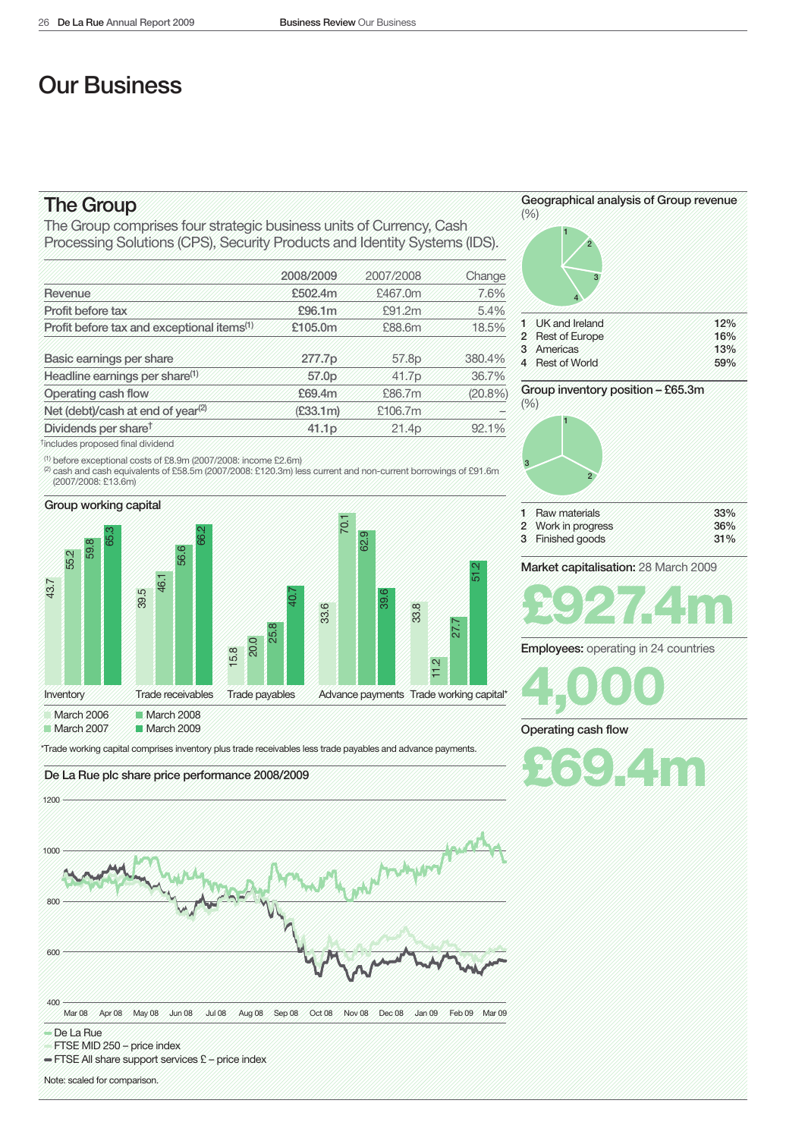# Our Business

## The Group

The Group comprises four strategic business units of Currency, Cash Processing Solutions (CPS), Security Products and Identity Systems (IDS).

|                                                        | 2008/2009 | 2007/2008 | Change |
|--------------------------------------------------------|-----------|-----------|--------|
| Revenue                                                | £502.4m   | £467.0m   | 7.6%   |
| Profit before tax                                      | £96,1m    | £91.2m    | 5.4%   |
| Profit before tax and exceptional items <sup>(1)</sup> | £105.0m   | £88.6m    | 18,5%  |
| Basic earnings per share                               | 277.7p    | 57.8p     | 380,4% |
| Headline earnings per share <sup>(1)</sup>             | 57.0p     | 41.7p     | 36.7%  |
| Operating cash flow                                    | £69.4m    | £86.7m    | (20.8% |
| Net (debt)/cash at end of year <sup>(2)</sup>          | (E33.1m)  | £106.7m   |        |
| Dividends per share <sup>t</sup>                       | 41.1p     | 21.4p     | 92.1%  |
| <sup>†</sup> includes proposed final dividend          |           |           |        |

(1) before exceptional costs of £8.9m (2007/2008: income £2.6m)

(2) cash and cash equivalents of £58.5m (2007/2008: £120.3m) less current and non-current borrowings of £91.6m (2007/2008: £13.6m)



March 2007 March 2009

\*Trade working capital comprises inventory plus trade receivables less trade payables and advance payments.





- FTSE MID 250 price index
- FTSE All share support services £- price index

Note: scaled for comparison.



Group inventory position - £65.3m  $(%)$ 



W % 31%

Market capitalisation: 28 March 2009



**Employees:** operating in 24 countries

**1,000 000** 

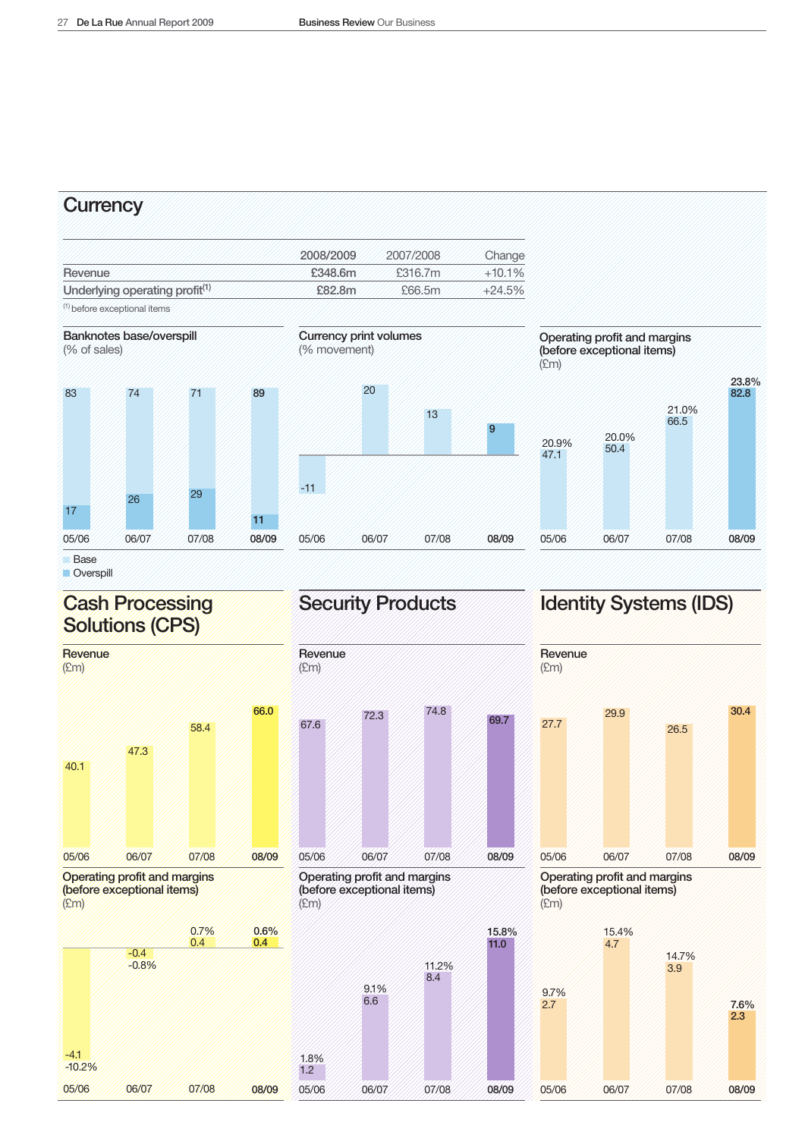### **Currency**

|                                            | 2008/2009 | 2007/2008 | Change   |
|--------------------------------------------|-----------|-----------|----------|
| Revenue                                    | £348.6m   | £316.7m   | $+10.1%$ |
| Underlying operating profit <sup>(1)</sup> | £82.8m    | £66.5m    | $+24.5%$ |
|                                            |           |           |          |

(1) before exceptional items





-4.1  $-10.2%$ 

05/06

06/07

07/08

08/09

Overspill

## **Cash Processing Solutions (CPS)**







 $9$ 

08/09

Operating profit and margins (before exceptional items)  $E$ m



# Security Products dentity Systems (IDS)



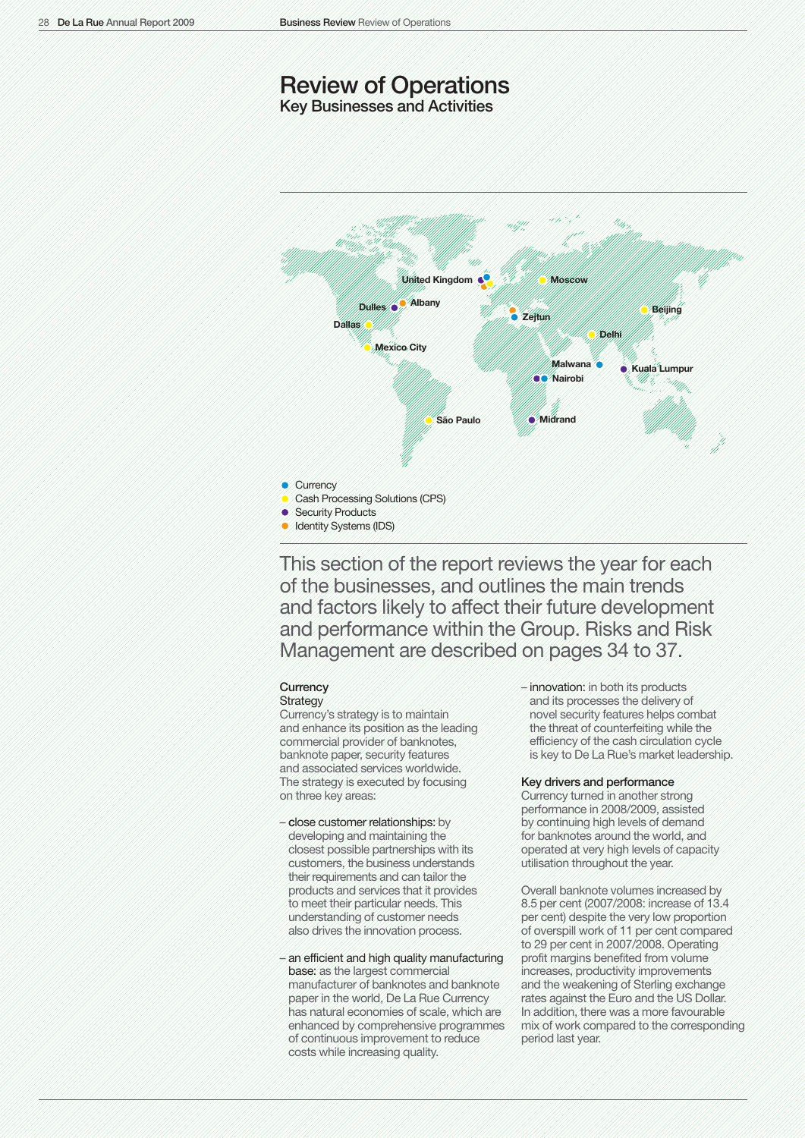# Review of Operations

Key Businesses and Activities



This section of the report reviews the year for each of the businesses, and outlines the main trends and factors likely to affect their future development and performance within the Group. Risks and Risk Management are described on pages 34 to 37.

### **Currency Strategy**

Currency's strategy is to maintain and enhance its position as the leading commercial provider of banknotes, banknote paper, security features and associated services worldwide. The strategy is executed by focusing on three key areas:

- close customer relationships: by developing and maintaining the closest possible partnerships with its customers, the business understands their requirements and can tailor the products and services that it provides to meet their particular needs. This understanding of customer needs also drives the innovation process.
- an efficient and high quality manufacturing base: as the largest commercial manufacturer of banknotes and banknote paper in the world, De La Rue Currency has natural economies of scale, which are enhanced by comprehensive programmes of continuous improvement to reduce costs while increasing quality.

– innovation: in both its products and its processes the delivery of novel security features helps combat the threat of counterfeiting while the efficiency of the cash circulation cycle is key to De La Rue's market leadership.

#### Key drivers and performance

Currency turned in another strong performance in 2008/2009, assisted by continuing high levels of demand for banknotes around the world, and operated at very high levels of capacity utilisation throughout the year.

Overall banknote volumes increased by 8.5 per cent (2007/2008: increase of 13.4 per cent) despite the very low proportion of overspill work of 11 per cent compared to 29 per cent in 2007/2008. Operating profit margins benefited from volume increases, productivity improvements and the weakening of Sterling exchange rates against the Euro and the US Dollar. In addition, there was a more favourable mix of work compared to the corresponding period last year.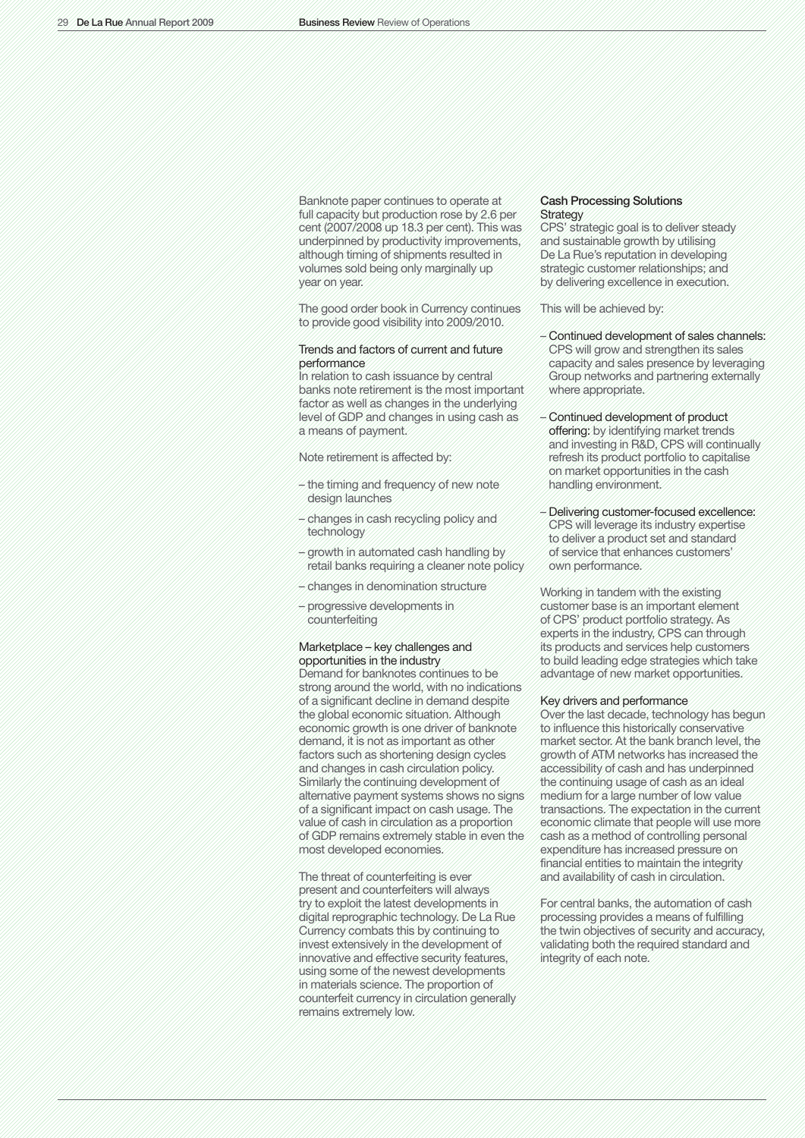Banknote paper continues to operate at full capacity but production rose by 2.6 per cent (2007/2008 up 18.3 per cent). This was underpinned by productivity improvements, although timing of shipments resulted in volumes sold being only marginally up year on year.

The good order book in Currency continues to provide good visibility into 2009/2010.

### Trends and factors of current and future performance

In relation to cash issuance by central banks note retirement is the most important factor as well as changes in the underlying level of GDP and changes in using cash as a means of payment.

#### Note retirement is affected by:

- the timing and frequency of new note design launches
- changes in cash recycling policy and technology
- growth in automated cash handling by retail banks requiring a cleaner note policy
- changes in denomination structure
- progressive developments in counterfeiting

### Marketplace – key challenges and opportunities in the industry

Demand for banknotes continues to be strong around the world, with no indications of a significant decline in demand despite the global economic situation. Although economic growth is one driver of banknote demand, it is not as important as other factors such as shortening design cycles and changes in cash circulation policy. Similarly the continuing development of alternative payment systems shows no signs of a significant impact on cash usage. The value of cash in circulation as a proportion of GDP remains extremely stable in even the most developed economies.

The threat of counterfeiting is ever present and counterfeiters will always try to exploit the latest developments in digital reprographic technology. De La Rue Currency combats this by continuing to invest extensively in the development of innovative and effective security features, using some of the newest developments in materials science. The proportion of counterfeit currency in circulation generally remains extremely low.

### Cash Processing Solutions **Strategy**

CPS' strategic goal is to deliver steady and sustainable growth by utilising De La Rue's reputation in developing strategic customer relationships; and by delivering excellence in execution.

This will be achieved by:

- Continued development of sales channels: CPS will grow and strengthen its sales capacity and sales presence by leveraging Group networks and partnering externally where appropriate.
- Continued development of product offering: by identifying market trends and investing in R&D, CPS will continually refresh its product portfolio to capitalise on market opportunities in the cash handling environment.
- Delivering customer-focused excellence: CPS will leverage its industry expertise to deliver a product set and standard of service that enhances customers' own performance.

Working in tandem with the existing customer base is an important element of CPS' product portfolio strategy. As experts in the industry, CPS can through its products and services help customers to build leading edge strategies which take advantage of new market opportunities.

### Key drivers and performance

Over the last decade, technology has begun to influence this historically conservative market sector. At the bank branch level, the growth of ATM networks has increased the accessibility of cash and has underpinned the continuing usage of cash as an ideal medium for a large number of low value transactions. The expectation in the current economic climate that people will use more cash as a method of controlling personal expenditure has increased pressure on financial entities to maintain the integrity and availability of cash in circulation.

For central banks, the automation of cash processing provides a means of fulfilling the twin objectives of security and accuracy, validating both the required standard and integrity of each note.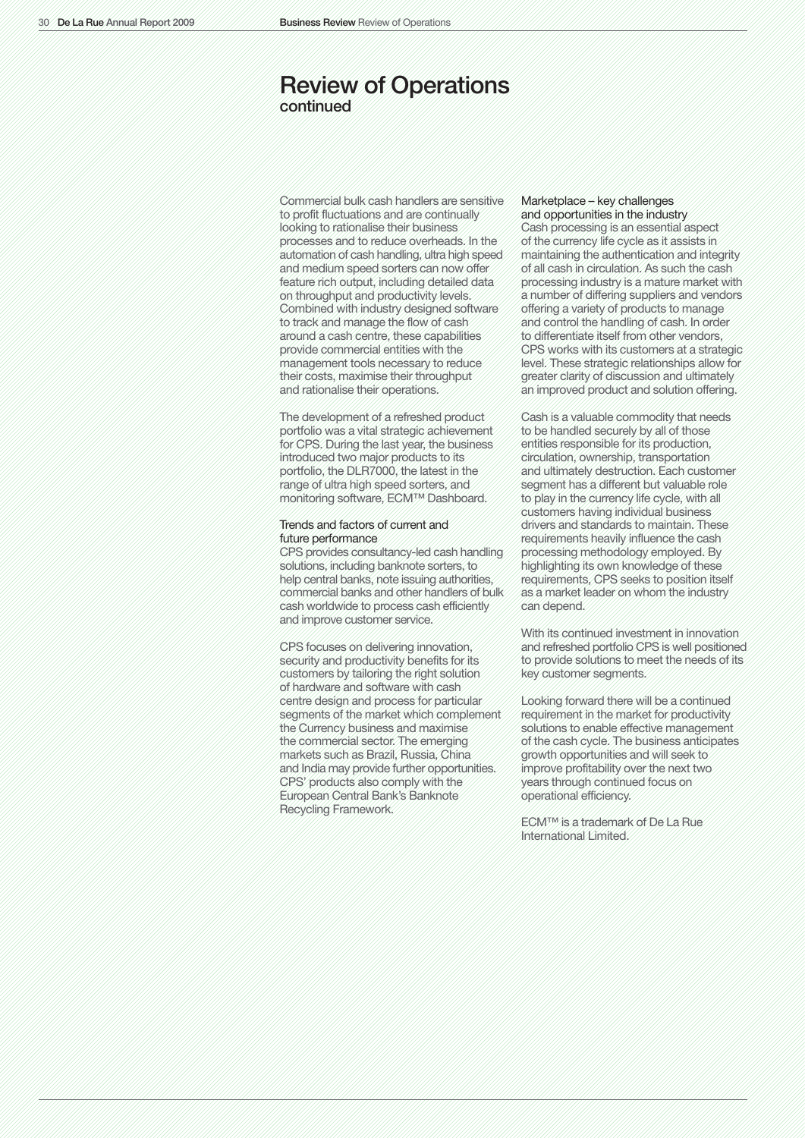### Review of Operations continued

Commercial bulk cash handlers are sensitive to profit fluctuations and are continually looking to rationalise their business processes and to reduce overheads. In the automation of cash handling, ultra high speed and medium speed sorters can now offer feature rich output, including detailed data on throughput and productivity levels. Combined with industry designed software to track and manage the flow of cash around a cash centre, these capabilities provide commercial entities with the management tools necessary to reduce their costs, maximise their throughput and rationalise their operations.

The development of a refreshed product portfolio was a vital strategic achievement for CPS. During the last year, the business introduced two major products to its portfolio, the DLR7000, the latest in the range of ultra high speed sorters, and monitoring software, ECM™ Dashboard.

### Trends and factors of current and future performance

CPS provides consultancy-led cash handling solutions, including banknote sorters, to help central banks, note issuing authorities, commercial banks and other handlers of bulk cash worldwide to process cash efficiently and improve customer service.

CPS focuses on delivering innovation, security and productivity benefits for its customers by tailoring the right solution of hardware and software with cash centre design and process for particular segments of the market which complement the Currency business and maximise the commercial sector. The emerging markets such as Brazil, Russia, China and India may provide further opportunities. CPS' products also comply with the European Central Bank's Banknote Recycling Framework.

### Marketplace – key challenges and opportunities in the industry

Cash processing is an essential aspect of the currency life cycle as it assists in maintaining the authentication and integrity of all cash in circulation. As such the cash processing industry is a mature market with a number of differing suppliers and vendors offering a variety of products to manage and control the handling of cash. In order to differentiate itself from other vendors, CPS works with its customers at a strategic level. These strategic relationships allow for greater clarity of discussion and ultimately an improved product and solution offering.

Cash is a valuable commodity that needs to be handled securely by all of those entities responsible for its production, circulation, ownership, transportation and ultimately destruction. Each customer segment has a different but valuable role to play in the currency life cycle, with all customers having individual business drivers and standards to maintain. These requirements heavily influence the cash processing methodology employed. By highlighting its own knowledge of these requirements, CPS seeks to position itself as a market leader on whom the industry can depend.

With its continued investment in innovation and refreshed portfolio CPS is well positioned to provide solutions to meet the needs of its key customer segments.

Looking forward there will be a continued requirement in the market for productivity solutions to enable effective management of the cash cycle. The business anticipates growth opportunities and will seek to improve profitability over the next two years through continued focus on operational efficiency.

ECM™ is a trademark of De La Rue International Limited.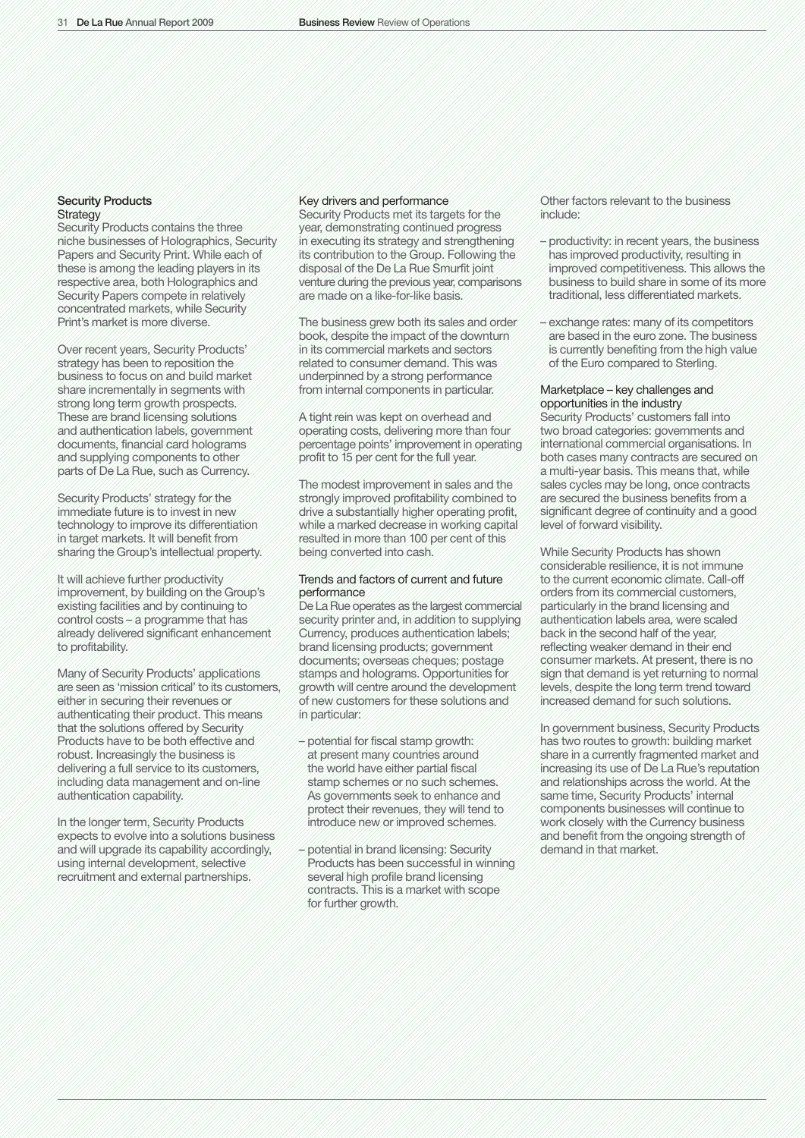### Security Products **Strategy**

Security Products contains the three niche businesses of Holographics, Security Papers and Security Print. While each of these is among the leading players in its respective area, both Holographics and Security Papers compete in relatively concentrated markets, while Security Print's market is more diverse.

Over recent years, Security Products' strategy has been to reposition the business to focus on and build market share incrementally in segments with strong long term growth prospects. These are brand licensing solutions and authentication labels, government documents, financial card holograms and supplying components to other parts of De La Rue, such as Currency.

Security Products' strategy for the immediate future is to invest in new technology to improve its differentiation in target markets. It will benefit from sharing the Group's intellectual property.

It will achieve further productivity improvement, by building on the Group's existing facilities and by continuing to control costs – a programme that has already delivered significant enhancement to profitability.

Many of Security Products' applications are seen as 'mission critical' to its customers, either in securing their revenues or authenticating their product. This means that the solutions offered by Security Products have to be both effective and robust. Increasingly the business is delivering a full service to its customers, including data management and on-line authentication capability.

In the longer term, Security Products expects to evolve into a solutions business and will upgrade its capability accordingly, using internal development, selective recruitment and external partnerships.

### Key drivers and performance

Security Products met its targets for the year, demonstrating continued progress in executing its strategy and strengthening its contribution to the Group. Following the disposal of the De La Rue Smurfit joint venture during the previous year, comparisons are made on a like-for-like basis.

The business grew both its sales and order book, despite the impact of the downturn in its commercial markets and sectors related to consumer demand. This was underpinned by a strong performance from internal components in particular.

A tight rein was kept on overhead and operating costs, delivering more than four percentage points' improvement in operating profit to 15 per cent for the full year.

The modest improvement in sales and the strongly improved profitability combined to drive a substantially higher operating profit, while a marked decrease in working capital resulted in more than 100 per cent of this being converted into cash.

### Trends and factors of current and future performance

De La Rue operates as the largest commercial security printer and, in addition to supplying Currency, produces authentication labels; brand licensing products; government documents; overseas cheques; postage stamps and holograms. Opportunities for growth will centre around the development of new customers for these solutions and in particular:

- potential for fiscal stamp growth: at present many countries around the world have either partial fiscal stamp schemes or no such schemes. As governments seek to enhance and protect their revenues, they will tend to introduce new or improved schemes.
- potential in brand licensing: Security Products has been successful in winning several high profile brand licensing contracts. This is a market with scope for further growth.

Other factors relevant to the business include:

- productivity: in recent years, the business has improved productivity, resulting in improved competitiveness. This allows the business to build share in some of its more traditional, less differentiated markets.
- exchange rates: many of its competitors are based in the euro zone. The business is currently benefiting from the high value of the Euro compared to Sterling.

### Marketplace – key challenges and opportunities in the industry

Security Products' customers fall into two broad categories: governments and international commercial organisations. In both cases many contracts are secured on a multi-year basis. This means that, while sales cycles may be long, once contracts are secured the business benefits from a significant degree of continuity and a good level of forward visibility.

While Security Products has shown considerable resilience, it is not immune to the current economic climate. Call-off orders from its commercial customers, particularly in the brand licensing and authentication labels area, were scaled back in the second half of the year, reflecting weaker demand in their end consumer markets. At present, there is no sign that demand is yet returning to normal levels, despite the long term trend toward increased demand for such solutions.

In government business, Security Products has two routes to growth: building market share in a currently fragmented market and increasing its use of De La Rue's reputation and relationships across the world. At the same time, Security Products' internal components businesses will continue to work closely with the Currency business and benefit from the ongoing strength of demand in that market.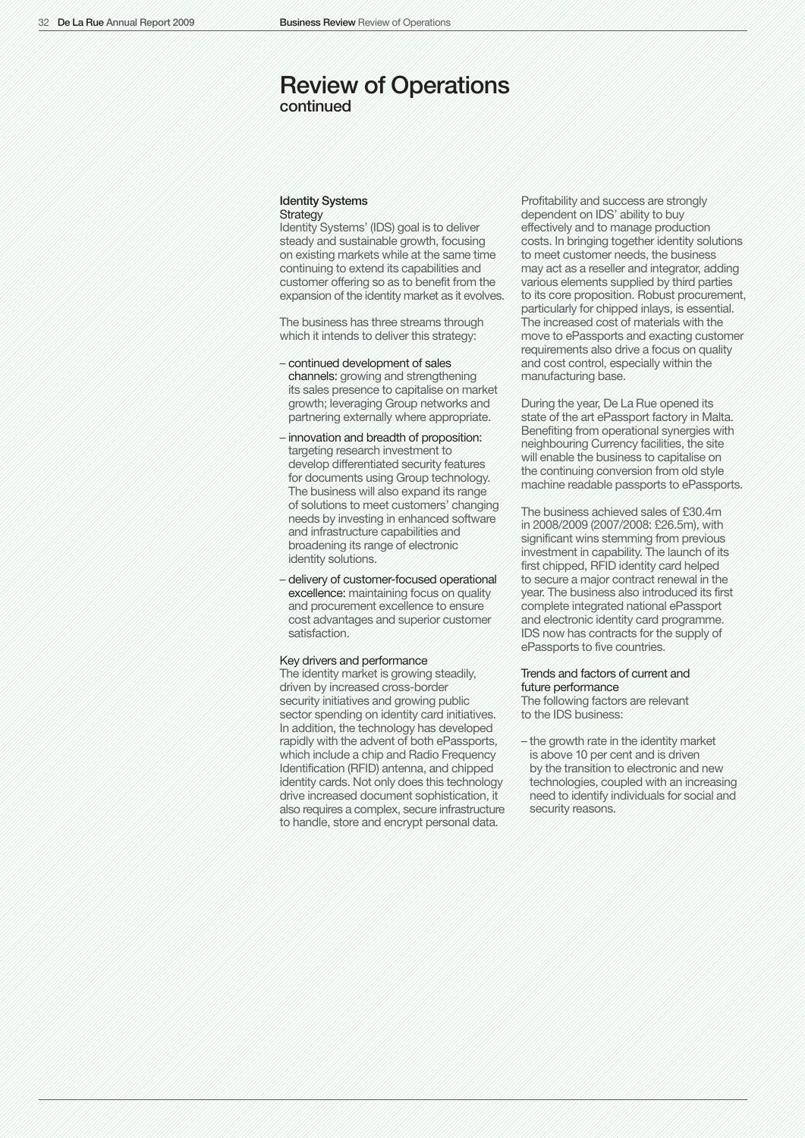### Review of Operations continued

Identity Systems **Strategy** 

Identity Systems' (IDS) goal is to deliver steady and sustainable growth, focusing on existing markets while at the same time continuing to extend its capabilities and customer offering so as to benefit from the expansion of the identity market as it evolves.

The business has three streams through which it intends to deliver this strategy:

- continued development of sales channels: growing and strengthening its sales presence to capitalise on market growth; leveraging Group networks and partnering externally where appropriate.
- innovation and breadth of proposition: targeting research investment to develop differentiated security features for documents using Group technology. The business will also expand its range of solutions to meet customers' changing needs by investing in enhanced software and infrastructure capabilities and broadening its range of electronic identity solutions.
- delivery of customer-focused operational excellence: maintaining focus on quality and procurement excellence to ensure cost advantages and superior customer satisfaction.

#### Key drivers and performance

The identity market is growing steadily, driven by increased cross-border security initiatives and growing public sector spending on identity card initiatives. In addition, the technology has developed rapidly with the advent of both ePassports, which include a chip and Radio Frequency Identification (RFID) antenna, and chipped identity cards. Not only does this technology drive increased document sophistication, it also requires a complex, secure infrastructure to handle, store and encrypt personal data.

Profitability and success are strongly dependent on IDS' ability to buy effectively and to manage production costs. In bringing together identity solutions to meet customer needs, the business may act as a reseller and integrator, adding various elements supplied by third parties to its core proposition. Robust procurement, particularly for chipped inlays, is essential. The increased cost of materials with the move to ePassports and exacting customer requirements also drive a focus on quality and cost control, especially within the manufacturing base.

During the year, De La Rue opened its state of the art ePassport factory in Malta. Benefiting from operational synergies with neighbouring Currency facilities, the site will enable the business to capitalise on the continuing conversion from old style machine readable passports to ePassports.

The business achieved sales of £30.4m in 2008/2009 (2007/2008: £26.5m), with significant wins stemming from previous investment in capability. The launch of its first chipped, RFID identity card helped to secure a major contract renewal in the year. The business also introduced its first complete integrated national ePassport and electronic identity card programme. IDS now has contracts for the supply of ePassports to five countries.

### Trends and factors of current and future performance

The following factors are relevant to the IDS business:

– the growth rate in the identity market is above 10 per cent and is driven by the transition to electronic and new technologies, coupled with an increasing need to identify individuals for social and security reasons.